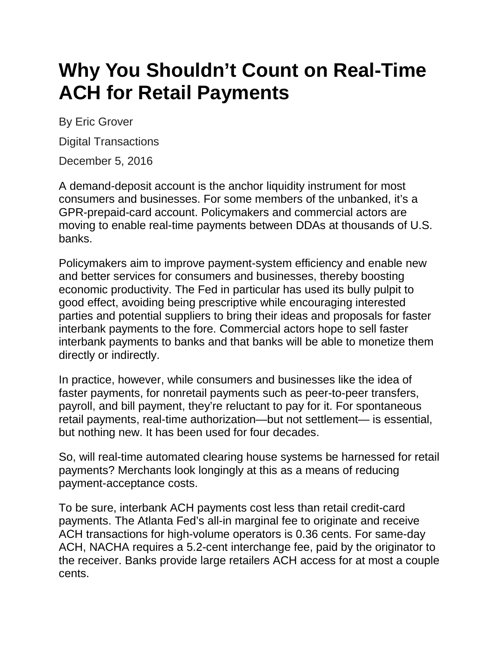## **Why You Shouldn't Count on Real-Time ACH for Retail Payments**

By Eric Grover

Digital Transactions

December 5, 2016

A demand-deposit account is the anchor liquidity instrument for most consumers and businesses. For some members of the unbanked, it's a GPR-prepaid-card account. Policymakers and commercial actors are moving to enable real-time payments between DDAs at thousands of U.S. banks.

Policymakers aim to improve payment-system efficiency and enable new and better services for consumers and businesses, thereby boosting economic productivity. The Fed in particular has used its bully pulpit to good effect, avoiding being prescriptive while encouraging interested parties and potential suppliers to bring their ideas and proposals for faster interbank payments to the fore. Commercial actors hope to sell faster interbank payments to banks and that banks will be able to monetize them directly or indirectly.

In practice, however, while consumers and businesses like the idea of faster payments, for nonretail payments such as peer-to-peer transfers, payroll, and bill payment, they're reluctant to pay for it. For spontaneous retail payments, real-time authorization—but not settlement— is essential, but nothing new. It has been used for four decades.

So, will real-time automated clearing house systems be harnessed for retail payments? Merchants look longingly at this as a means of reducing payment-acceptance costs.

To be sure, interbank ACH payments cost less than retail credit-card payments. The Atlanta Fed's all-in marginal fee to originate and receive ACH transactions for high-volume operators is 0.36 cents. For same-day ACH, NACHA requires a 5.2-cent interchange fee, paid by the originator to the receiver. Banks provide large retailers ACH access for at most a couple cents.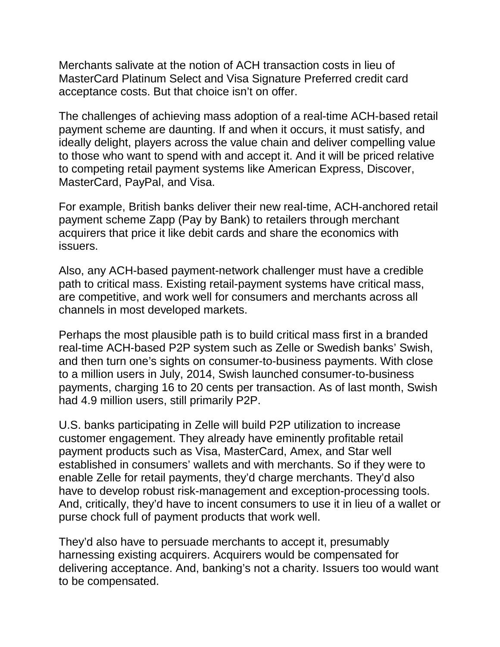Merchants salivate at the notion of ACH transaction costs in lieu of MasterCard Platinum Select and Visa Signature Preferred credit card acceptance costs. But that choice isn't on offer.

The challenges of achieving mass adoption of a real-time ACH-based retail payment scheme are daunting. If and when it occurs, it must satisfy, and ideally delight, players across the value chain and deliver compelling value to those who want to spend with and accept it. And it will be priced relative to competing retail payment systems like American Express, Discover, MasterCard, PayPal, and Visa.

For example, British banks deliver their new real-time, ACH-anchored retail payment scheme Zapp (Pay by Bank) to retailers through merchant acquirers that price it like debit cards and share the economics with issuers.

Also, any ACH-based payment-network challenger must have a credible path to critical mass. Existing retail-payment systems have critical mass, are competitive, and work well for consumers and merchants across all channels in most developed markets.

Perhaps the most plausible path is to build critical mass first in a branded real-time ACH-based P2P system such as Zelle or Swedish banks' Swish, and then turn one's sights on consumer-to-business payments. With close to a million users in July, 2014, Swish launched consumer-to-business payments, charging 16 to 20 cents per transaction. As of last month, Swish had 4.9 million users, still primarily P2P.

U.S. banks participating in Zelle will build P2P utilization to increase customer engagement. They already have eminently profitable retail payment products such as Visa, MasterCard, Amex, and Star well established in consumers' wallets and with merchants. So if they were to enable Zelle for retail payments, they'd charge merchants. They'd also have to develop robust risk-management and exception-processing tools. And, critically, they'd have to incent consumers to use it in lieu of a wallet or purse chock full of payment products that work well.

They'd also have to persuade merchants to accept it, presumably harnessing existing acquirers. Acquirers would be compensated for delivering acceptance. And, banking's not a charity. Issuers too would want to be compensated.